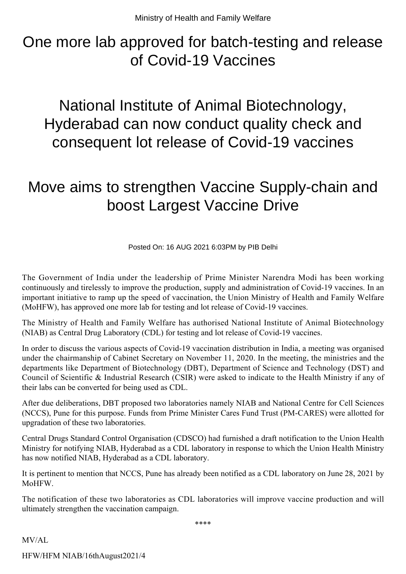## One more lab approved for batch-testing and release of Covid-19 Vaccines

National Institute of Animal Biotechnology, Hyderabad can now conduct quality check and consequent lot release of Covid-19 vaccines

## Move aims to strengthen Vaccine Supply-chain and boost Largest Vaccine Drive

Posted On: 16 AUG 2021 6:03PM by PIB Delhi

The Government of India under the leadership of Prime Minister Narendra Modi has been working continuously and tirelessly to improve the production, supply and administration of Covid-19 vaccines. In an important initiative to ramp up the speed of vaccination, the Union Ministry of Health and Family Welfare (MoHFW), has approved one more lab for testing and lot release of Covid-19 vaccines.

The Ministry of Health and Family Welfare has authorised National Institute of Animal Biotechnology (NIAB) as Central Drug Laboratory (CDL) for testing and lot release of Covid-19 vaccines.

In order to discuss the various aspects of Covid-19 vaccination distribution in India, a meeting was organised under the chairmanship of Cabinet Secretary on November 11, 2020. In the meeting, the ministries and the departments like Department of Biotechnology (DBT), Department of Science and Technology (DST) and Council of Scientific & Industrial Research (CSIR) were asked to indicate to the Health Ministry if any of their labs can be converted for being used as CDL.

After due deliberations, DBT proposed two laboratories namely NIAB and National Centre for Cell Sciences (NCCS), Pune for this purpose. Funds from Prime Minister Cares Fund Trust (PM-CARES) were allotted for upgradation of these two laboratories.

Central Drugs Standard Control Organisation (CDSCO) had furnished a draft notification to the Union Health Ministry for notifying NIAB, Hyderabad as a CDL laboratory in response to which the Union Health Ministry has now notified NIAB, Hyderabad as a CDL laboratory.

It is pertinent to mention that NCCS, Pune has already been notified as a CDL laboratory on June 28, 2021 by MoHFW.

The notification of these two laboratories as CDL laboratories will improve vaccine production and will ultimately strengthen the vaccination campaign.

\*\*\*\*

MV/AL

HFW/HFM NIAB/16thAugust2021/4